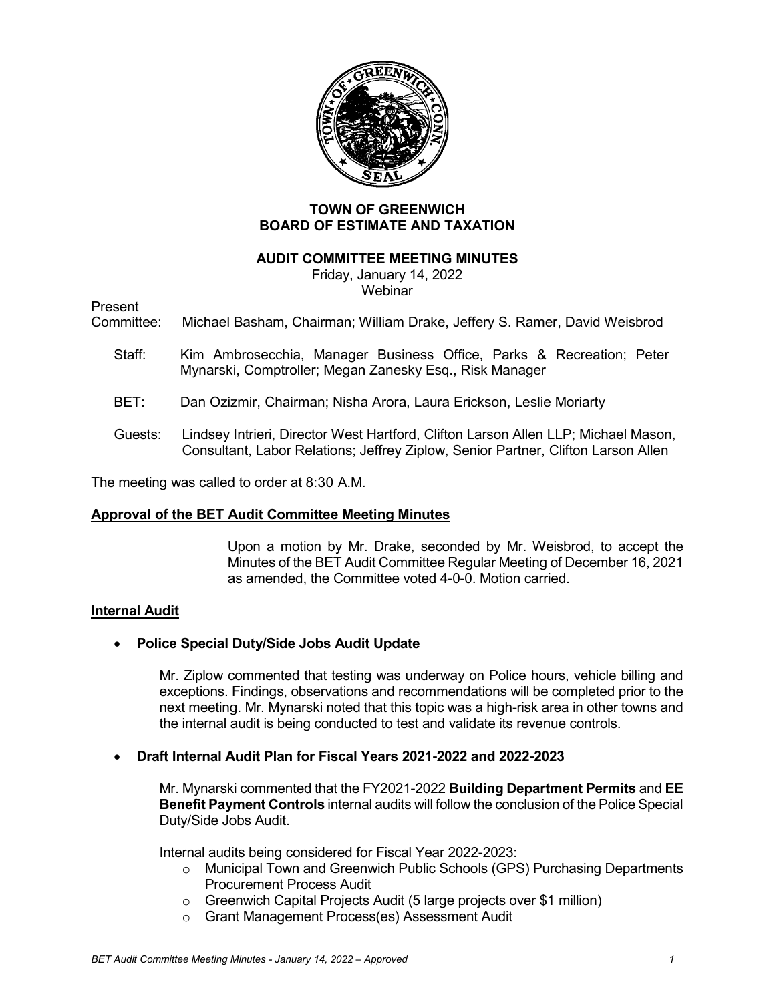

# **TOWN OF GREENWICH BOARD OF ESTIMATE AND TAXATION**

### **AUDIT COMMITTEE MEETING MINUTES**

Friday, January 14, 2022 Webinar

Present

Committee: Michael Basham, Chairman; William Drake, Jeffery S. Ramer, David Weisbrod

- Staff: Kim Ambrosecchia, Manager Business Office, Parks & Recreation; Peter Mynarski, Comptroller; Megan Zanesky Esq., Risk Manager
- BET: Dan Ozizmir, Chairman; Nisha Arora, Laura Erickson, Leslie Moriarty
- Guests: Lindsey Intrieri, Director West Hartford, Clifton Larson Allen LLP; Michael Mason, Consultant, Labor Relations; Jeffrey Ziplow, Senior Partner, Clifton Larson Allen

The meeting was called to order at 8:30 A.M.

# **Approval of the BET Audit Committee Meeting Minutes**

Upon a motion by Mr. Drake, seconded by Mr. Weisbrod, to accept the Minutes of the BET Audit Committee Regular Meeting of December 16, 2021 as amended, the Committee voted 4-0-0. Motion carried.

# **Internal Audit**

# • **Police Special Duty/Side Jobs Audit Update**

Mr. Ziplow commented that testing was underway on Police hours, vehicle billing and exceptions. Findings, observations and recommendations will be completed prior to the next meeting. Mr. Mynarski noted that this topic was a high-risk area in other towns and the internal audit is being conducted to test and validate its revenue controls.

### • **Draft Internal Audit Plan for Fiscal Years 2021-2022 and 2022-2023**

Mr. Mynarski commented that the FY2021-2022 **Building Department Permits** and **EE Benefit Payment Controls** internal audits will follow the conclusion of the Police Special Duty/Side Jobs Audit.

Internal audits being considered for Fiscal Year 2022-2023:

- o Municipal Town and Greenwich Public Schools (GPS) Purchasing Departments Procurement Process Audit
- o Greenwich Capital Projects Audit (5 large projects over \$1 million)
- o Grant Management Process(es) Assessment Audit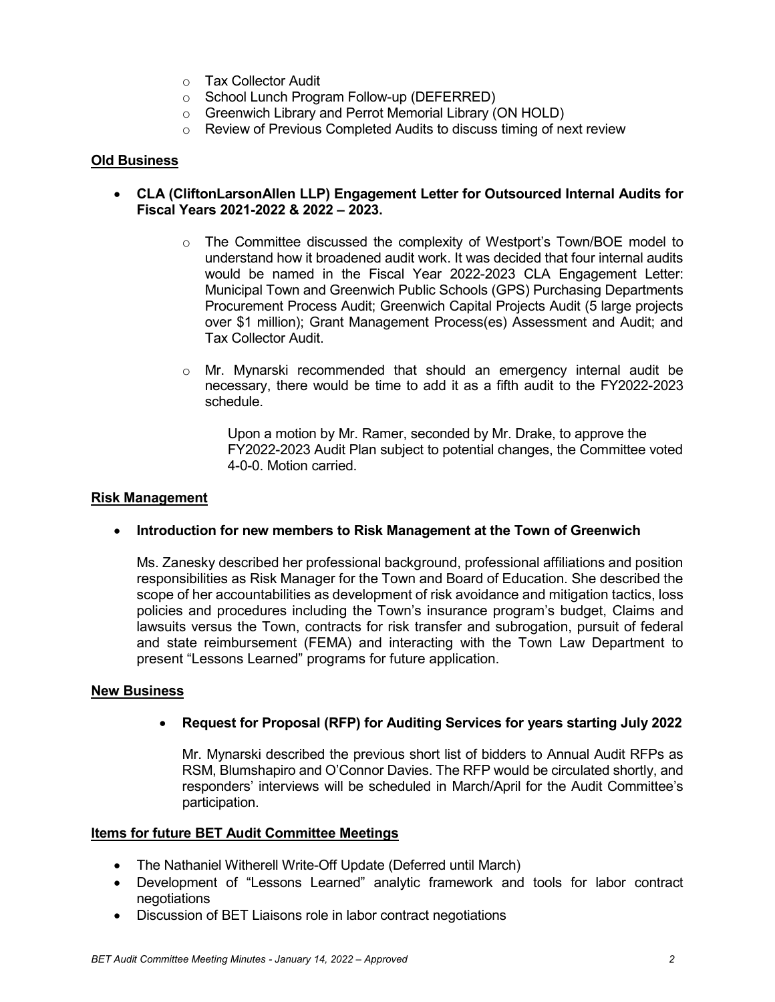- o Tax Collector Audit
- o School Lunch Program Follow-up (DEFERRED)
- o Greenwich Library and Perrot Memorial Library (ON HOLD)
- o Review of Previous Completed Audits to discuss timing of next review

### **Old Business**

- **CLA (CliftonLarsonAllen LLP) Engagement Letter for Outsourced Internal Audits for Fiscal Years 2021-2022 & 2022 – 2023.**
	- $\circ$  The Committee discussed the complexity of Westport's Town/BOE model to understand how it broadened audit work. It was decided that four internal audits would be named in the Fiscal Year 2022-2023 CLA Engagement Letter: Municipal Town and Greenwich Public Schools (GPS) Purchasing Departments Procurement Process Audit; Greenwich Capital Projects Audit (5 large projects over \$1 million); Grant Management Process(es) Assessment and Audit; and Tax Collector Audit.
	- $\circ$  Mr. Mynarski recommended that should an emergency internal audit be necessary, there would be time to add it as a fifth audit to the FY2022-2023 schedule.

Upon a motion by Mr. Ramer, seconded by Mr. Drake, to approve the FY2022-2023 Audit Plan subject to potential changes, the Committee voted 4-0-0. Motion carried.

#### **Risk Management**

### • **Introduction for new members to Risk Management at the Town of Greenwich**

Ms. Zanesky described her professional background, professional affiliations and position responsibilities as Risk Manager for the Town and Board of Education. She described the scope of her accountabilities as development of risk avoidance and mitigation tactics, loss policies and procedures including the Town's insurance program's budget, Claims and lawsuits versus the Town, contracts for risk transfer and subrogation, pursuit of federal and state reimbursement (FEMA) and interacting with the Town Law Department to present "Lessons Learned" programs for future application.

#### **New Business**

• **Request for Proposal (RFP) for Auditing Services for years starting July 2022**

Mr. Mynarski described the previous short list of bidders to Annual Audit RFPs as RSM, Blumshapiro and O'Connor Davies. The RFP would be circulated shortly, and responders' interviews will be scheduled in March/April for the Audit Committee's participation.

### **Items for future BET Audit Committee Meetings**

- The Nathaniel Witherell Write-Off Update (Deferred until March)
- Development of "Lessons Learned" analytic framework and tools for labor contract negotiations
- Discussion of BET Liaisons role in labor contract negotiations